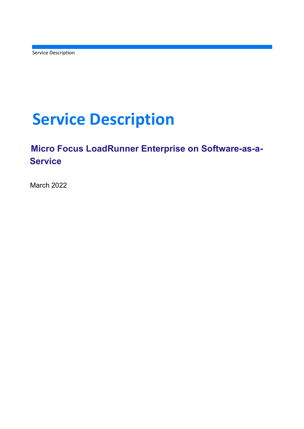Service Description

# Service Description

# Micro Focus LoadRunner Enterprise on Software-as-a-**Service**

March 2022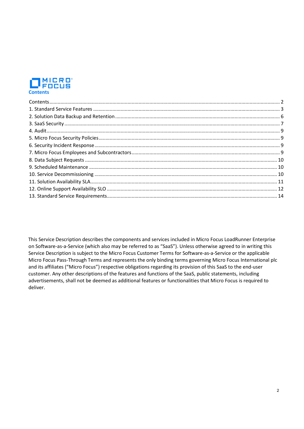

 This Service Description describes the components and services included in Micro Focus LoadRunner Enterprise on Software-as-a-Service (which also may be referred to as "SaaS"). Unless otherwise agreed to in writing this Service Description is subject to the Micro Focus Customer Terms for Software-as-a-Service or the applicable Micro Focus Pass-Through Terms and represents the only binding terms governing Micro Focus International plc and its affiliates ("Micro Focus") respective obligations regarding its provision of this SaaS to the end-user customer. Any other descriptions of the features and functions of the SaaS, public statements, including advertisements, shall not be deemed as additional features or functionalities that Micro Focus is required to deliver.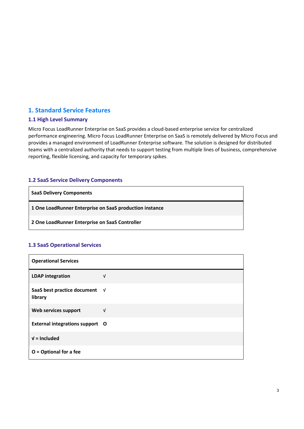# 1. Standard Service Features

## 1.1 High Level Summary

Micro Focus LoadRunner Enterprise on SaaS provides a cloud-based enterprise service for centralized performance engineering. Micro Focus LoadRunner Enterprise on SaaS is remotely delivered by Micro Focus and provides a managed environment of LoadRunner Enterprise software. The solution is designed for distributed teams with a centralized authority that needs to support testing from multiple lines of business, comprehensive reporting, flexible licensing, and capacity for temporary spikes.

## 1.2 SaaS Service Delivery Components

| <b>SaaS Delivery Components</b>                         |
|---------------------------------------------------------|
| 1 One LoadRunner Enterprise on SaaS production instance |
| 2 One LoadRunner Enterprise on SaaS Controller          |

# 1.3 SaaS Operational Services

| <b>Operational Services</b>              |            |
|------------------------------------------|------------|
| <b>LDAP</b> integration                  | V          |
| SaaS best practice document √<br>library |            |
| Web services support                     | $\sqrt{ }$ |
| External integrations support O          |            |
| $V =$ Included                           |            |
| $O =$ Optional for a fee                 |            |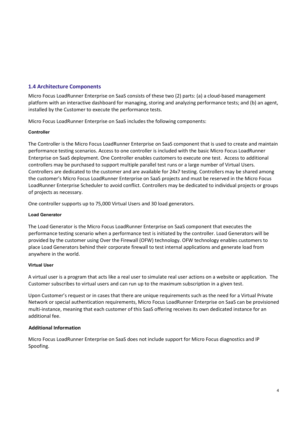# 1.4 Architecture Components

Micro Focus LoadRunner Enterprise on SaaS consists of these two (2) parts: (a) a cloud-based management platform with an interactive dashboard for managing, storing and analyzing performance tests; and (b) an agent, installed by the Customer to execute the performance tests.

Micro Focus LoadRunner Enterprise on SaaS includes the following components:

#### Controller

The Controller is the Micro Focus LoadRunner Enterprise on SaaS component that is used to create and maintain performance testing scenarios. Access to one controller is included with the basic Micro Focus LoadRunner Enterprise on SaaS deployment. One Controller enables customers to execute one test. Access to additional controllers may be purchased to support multiple parallel test runs or a large number of Virtual Users. Controllers are dedicated to the customer and are available for 24x7 testing. Controllers may be shared among the customer's Micro Focus LoadRunner Enterprise on SaaS projects and must be reserved in the Micro Focus LoadRunner Enterprise Scheduler to avoid conflict. Controllers may be dedicated to individual projects or groups of projects as necessary.

One controller supports up to 75,000 Virtual Users and 30 load generators.

#### Load Generator

The Load Generator is the Micro Focus LoadRunner Enterprise on SaaS component that executes the performance testing scenario when a performance test is initiated by the controller. Load Generators will be provided by the customer using Over the Firewall (OFW) technology. OFW technology enables customers to place Load Generators behind their corporate firewall to test internal applications and generate load from anywhere in the world.

#### Virtual User

A virtual user is a program that acts like a real user to simulate real user actions on a website or application. The Customer subscribes to virtual users and can run up to the maximum subscription in a given test.

Upon Customer's request or in cases that there are unique requirements such as the need for a Virtual Private Network or special authentication requirements, Micro Focus LoadRunner Enterprise on SaaS can be provisioned multi-instance, meaning that each customer of this SaaS offering receives its own dedicated instance for an additional fee.

#### Additional Information

Micro Focus LoadRunner Enterprise on SaaS does not include support for Micro Focus diagnostics and IP Spoofing.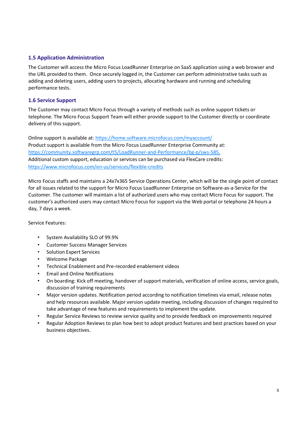# 1.5 Application Administration

The Customer will access the Micro Focus LoadRunner Enterprise on SaaS application using a web browser and the URL provided to them. Once securely logged in, the Customer can perform administrative tasks such as adding and deleting users, adding users to projects, allocating hardware and running and scheduling performance tests.

# 1.6 Service Support

The Customer may contact Micro Focus through a variety of methods such as online support tickets or telephone. The Micro Focus Support Team will either provide support to the Customer directly or coordinate delivery of this support.

Online support is available at: https://home.software.microfocus.com/myaccount/ Product support is available from the Micro Focus LoadRunner Enterprise Community at: https://community.softwaregrp.com/t5/LoadRunner-and-Performance/bg-p/sws-585. Additional custom support, education or services can be purchased via FlexCare credits: https://www.microfocus.com/en-us/services/flexible-credits

Micro Focus staffs and maintains a 24x7x365 Service Operations Center, which will be the single point of contact for all issues related to the support for Micro Focus LoadRunner Enterprise on Software-as-a-Service for the Customer. The customer will maintain a list of authorized users who may contact Micro Focus for support. The customer's authorized users may contact Micro Focus for support via the Web portal or telephone 24 hours a day, 7 days a week.

Service Features:

- System Availability SLO of 99.9%
- Customer Success Manager Services
- Solution Expert Services
- Welcome Package
- Technical Enablement and Pre-recorded enablement videos
- Email and Online Notifications
- On boarding: Kick off meeting, handover of support materials, verification of online access, service goals, discussion of training requirements
- Major version updates. Notification period according to notification timelines via email, release notes and help resources available. Major version update meeting, including discussion of changes required to take advantage of new features and requirements to implement the update.
- Regular Service Reviews to review service quality and to provide feedback on improvements required
- Regular Adoption Reviews to plan how best to adopt product features and best practices based on your business objectives.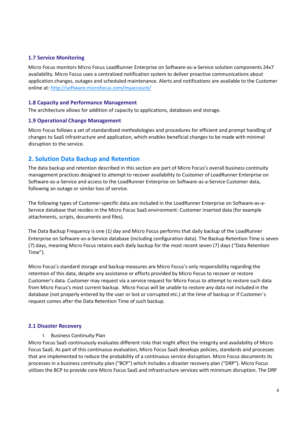# 1.7 Service Monitoring

Micro Focus monitors Micro Focus LoadRunner Enterprise on Software-as-a-Service solution components 24x7 availability. Micro Focus uses a centralized notification system to deliver proactive communications about application changes, outages and scheduled maintenance. Alerts and notifications are available to the Customer online at: http://software.microfocus.com/myaccount/

#### 1.8 Capacity and Performance Management

The architecture allows for addition of capacity to applications, databases and storage.

#### 1.9 Operational Change Management

Micro Focus follows a set of standardized methodologies and procedures for efficient and prompt handling of changes to SaaS infrastructure and application, which enables beneficial changes to be made with minimal disruption to the service.

# 2. Solution Data Backup and Retention

The data backup and retention described in this section are part of Micro Focus's overall business continuity management practices designed to attempt to recover availability to Customer of LoadRunner Enterprise on Software-as-a-Service and access to the LoadRunner Enterprise on Software-as-a-Service Customer data, following an outage or similar loss of service.

The following types of Customer-specific data are included in the LoadRunner Enterprise on Software-as-a-Service database that resides in the Micro Focus SaaS environment: Customer inserted data (for example attachments, scripts, documents and files).

The Data Backup Frequency is one (1) day and Micro Focus performs that daily backup of the LoadRunner Enterprise on Software-as-a-Service database (including configuration data). The Backup Retention Time is seven (7) days, meaning Micro Focus retains each daily backup for the most recent seven (7) days ("Data Retention Time").

Micro Focus's standard storage and backup measures are Micro Focus's only responsibility regarding the retention of this data, despite any assistance or efforts provided by Micro Focus to recover or restore Customer's data. Customer may request via a service request for Micro Focus to attempt to restore such data from Micro Focus's most current backup. Micro Focus will be unable to restore any data not included in the database (not properly entered by the user or lost or corrupted etc.) at the time of backup or if Customer´s request comes after the Data Retention Time of such backup.

#### 2.1 Disaster Recovery

#### 1. Business Continuity Plan

Micro Focus SaaS continuously evaluates different risks that might affect the integrity and availability of Micro Focus SaaS. As part of this continuous evaluation, Micro Focus SaaS develops policies, standards and processes that are implemented to reduce the probability of a continuous service disruption. Micro Focus documents its processes in a business continuity plan ("BCP") which includes a disaster recovery plan ("DRP"). Micro Focus utilizes the BCP to provide core Micro Focus SaaS and infrastructure services with minimum disruption. The DRP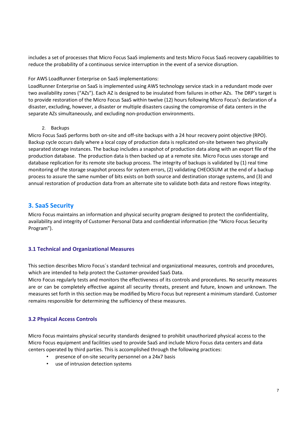includes a set of processes that Micro Focus SaaS implements and tests Micro Focus SaaS recovery capabilities to reduce the probability of a continuous service interruption in the event of a service disruption.

#### For AWS LoadRunner Enterprise on SaaS implementations:

LoadRunner Enterprise on SaaS is implemented using AWS technology service stack in a redundant mode over two availability zones ("AZs"). Each AZ is designed to be insulated from failures in other AZs. The DRP's target is to provide restoration of the Micro Focus SaaS within twelve (12) hours following Micro Focus's declaration of a disaster, excluding, however, a disaster or multiple disasters causing the compromise of data centers in the separate AZs simultaneously, and excluding non-production environments.

2. Backups

Micro Focus SaaS performs both on-site and off-site backups with a 24 hour recovery point objective (RPO). Backup cycle occurs daily where a local copy of production data is replicated on-site between two physically separated storage instances. The backup includes a snapshot of production data along with an export file of the production database. The production data is then backed up at a remote site. Micro Focus uses storage and database replication for its remote site backup process. The integrity of backups is validated by (1) real time monitoring of the storage snapshot process for system errors, (2) validating CHECKSUM at the end of a backup process to assure the same number of bits exists on both source and destination storage systems, and (3) and annual restoration of production data from an alternate site to validate both data and restore flows integrity.

# 3. SaaS Security

Micro Focus maintains an information and physical security program designed to protect the confidentiality, availability and integrity of Customer Personal Data and confidential information (the "Micro Focus Security Program").

# 3.1 Technical and Organizational Measures

This section describes Micro Focus´s standard technical and organizational measures, controls and procedures, which are intended to help protect the Customer-provided SaaS Data.

Micro Focus regularly tests and monitors the effectiveness of its controls and procedures. No security measures are or can be completely effective against all security threats, present and future, known and unknown. The measures set forth in this section may be modified by Micro Focus but represent a minimum standard. Customer remains responsible for determining the sufficiency of these measures.

# 3.2 Physical Access Controls

Micro Focus maintains physical security standards designed to prohibit unauthorized physical access to the Micro Focus equipment and facilities used to provide SaaS and include Micro Focus data centers and data centers operated by third parties. This is accomplished through the following practices:

- presence of on-site security personnel on a 24x7 basis
- use of intrusion detection systems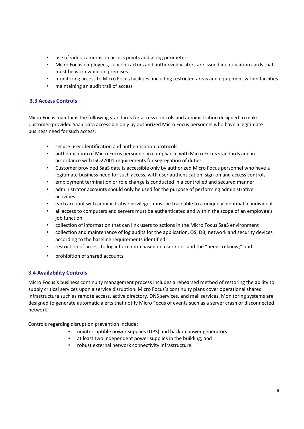- use of video cameras on access points and along perimeter
- Micro Focus employees, subcontractors and authorized visitors are issued identification cards that must be worn while on premises
- monitoring access to Micro Focus facilities, including restricted areas and equipment within facilities
- maintaining an audit trail of access

# 3.3 Access Controls

Micro Focus maintains the following standards for access controls and administration designed to make Customer-provided SaaS Data accessible only by authorized Micro Focus personnel who have a legitimate business need for such access:

- secure user identification and authentication protocols
- authentication of Micro Focus personnel in compliance with Micro Focus standards and in accordance with ISO27001 requirements for segregation of duties
- Customer provided SaaS data is accessible only by authorized Micro Focus personnel who have a legitimate business need for such access, with user authentication, sign-on and access controls
- employment termination or role change is conducted in a controlled and secured manner
- administrator accounts should only be used for the purpose of performing administrative activities
- each account with administrative privileges must be traceable to a uniquely identifiable individual
- all access to computers and servers must be authenticated and within the scope of an employee's job function
- collection of information that can link users to actions in the Micro Focus SaaS environment
- collection and maintenance of log audits for the application, OS, DB, network and security devices according to the baseline requirements identified
- restriction of access to log information based on user roles and the "need-to-know;" and
- prohibition of shared accounts

# 3.4 Availability Controls

Micro Focus´s business continuity management process includes a rehearsed method of restoring the ability to supply critical services upon a service disruption. Micro Focus's continuity plans cover operational shared infrastructure such as remote access, active directory, DNS services, and mail services. Monitoring systems are designed to generate automatic alerts that notify Micro Focus of events such as a server crash or disconnected network.

Controls regarding disruption prevention include:

- uninterruptible power supplies (UPS) and backup power generators
- at least two independent power supplies in the building; and
- robust external network connectivity infrastructure.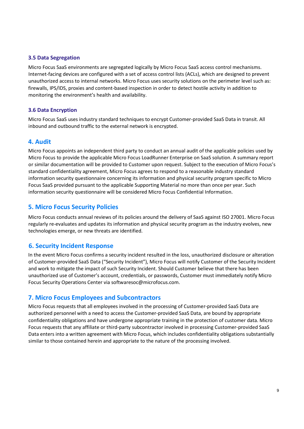#### 3.5 Data Segregation

Micro Focus SaaS environments are segregated logically by Micro Focus SaaS access control mechanisms. Internet-facing devices are configured with a set of access control lists (ACLs), which are designed to prevent unauthorized access to internal networks. Micro Focus uses security solutions on the perimeter level such as: firewalls, IPS/IDS, proxies and content-based inspection in order to detect hostile activity in addition to monitoring the environment's health and availability.

## 3.6 Data Encryption

Micro Focus SaaS uses industry standard techniques to encrypt Customer-provided SaaS Data in transit. All inbound and outbound traffic to the external network is encrypted.

# 4. Audit

Micro Focus appoints an independent third party to conduct an annual audit of the applicable policies used by Micro Focus to provide the applicable Micro Focus LoadRunner Enterprise on SaaS solution. A summary report or similar documentation will be provided to Customer upon request. Subject to the execution of Micro Focus's standard confidentiality agreement, Micro Focus agrees to respond to a reasonable industry standard information security questionnaire concerning its information and physical security program specific to Micro Focus SaaS provided pursuant to the applicable Supporting Material no more than once per year. Such information security questionnaire will be considered Micro Focus Confidential Information.

# 5. Micro Focus Security Policies

Micro Focus conducts annual reviews of its policies around the delivery of SaaS against ISO 27001. Micro Focus regularly re-evaluates and updates its information and physical security program as the industry evolves, new technologies emerge, or new threats are identified.

# 6. Security Incident Response

In the event Micro Focus confirms a security incident resulted in the loss, unauthorized disclosure or alteration of Customer-provided SaaS Data ("Security Incident"), Micro Focus will notify Customer of the Security Incident and work to mitigate the impact of such Security Incident. Should Customer believe that there has been unauthorized use of Customer's account, credentials, or passwords, Customer must immediately notify Micro Focus Security Operations Center via softwaresoc@microfocus.com.

# 7. Micro Focus Employees and Subcontractors

Micro Focus requests that all employees involved in the processing of Customer-provided SaaS Data are authorized personnel with a need to access the Customer-provided SaaS Data, are bound by appropriate confidentiality obligations and have undergone appropriate training in the protection of customer data. Micro Focus requests that any affiliate or third-party subcontractor involved in processing Customer-provided SaaS Data enters into a written agreement with Micro Focus, which includes confidentiality obligations substantially similar to those contained herein and appropriate to the nature of the processing involved.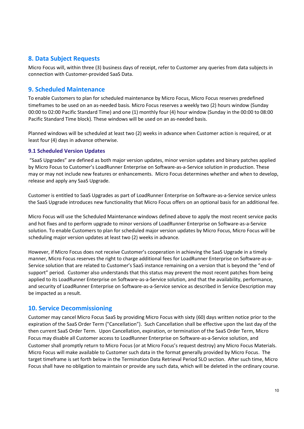# 8. Data Subject Requests

Micro Focus will, within three (3) business days of receipt, refer to Customer any queries from data subjects in connection with Customer-provided SaaS Data.

# 9. Scheduled Maintenance

To enable Customers to plan for scheduled maintenance by Micro Focus, Micro Focus reserves predefined timeframes to be used on an as-needed basis. Micro Focus reserves a weekly two (2) hours window (Sunday 00:00 to 02:00 Pacific Standard Time) and one (1) monthly four (4) hour window (Sunday in the 00:00 to 08:00 Pacific Standard Time block). These windows will be used on an as-needed basis.

Planned windows will be scheduled at least two (2) weeks in advance when Customer action is required, or at least four (4) days in advance otherwise.

# 9.1 Scheduled Version Updates

 "SaaS Upgrades" are defined as both major version updates, minor version updates and binary patches applied by Micro Focus to Customer's LoadRunner Enterprise on Software-as-a-Service solution in production. These may or may not include new features or enhancements. Micro Focus determines whether and when to develop, release and apply any SaaS Upgrade.

Customer is entitled to SaaS Upgrades as part of LoadRunner Enterprise on Software-as-a-Service service unless the SaaS Upgrade introduces new functionality that Micro Focus offers on an optional basis for an additional fee.

Micro Focus will use the Scheduled Maintenance windows defined above to apply the most recent service packs and hot fixes and to perform upgrade to minor versions of LoadRunner Enterprise on Software-as-a-Service solution. To enable Customers to plan for scheduled major version updates by Micro Focus, Micro Focus will be scheduling major version updates at least two (2) weeks in advance.

However, if Micro Focus does not receive Customer's cooperation in achieving the SaaS Upgrade in a timely manner, Micro Focus reserves the right to charge additional fees for LoadRunner Enterprise on Software-as-a-Service solution that are related to Customer's SaaS instance remaining on a version that is beyond the "end of support" period. Customer also understands that this status may prevent the most recent patches from being applied to its LoadRunner Enterprise on Software-as-a-Service solution, and that the availability, performance, and security of LoadRunner Enterprise on Software-as-a-Service service as described in Service Description may be impacted as a result.

# 10. Service Decommissioning

Customer may cancel Micro Focus SaaS by providing Micro Focus with sixty (60) days written notice prior to the expiration of the SaaS Order Term ("Cancellation"). Such Cancellation shall be effective upon the last day of the then current SaaS Order Term. Upon Cancellation, expiration, or termination of the SaaS Order Term, Micro Focus may disable all Customer access to LoadRunner Enterprise on Software-as-a-Service solution, and Customer shall promptly return to Micro Focus (or at Micro Focus's request destroy) any Micro Focus Materials. Micro Focus will make available to Customer such data in the format generally provided by Micro Focus. The target timeframe is set forth below in the Termination Data Retrieval Period SLO section. After such time, Micro Focus shall have no obligation to maintain or provide any such data, which will be deleted in the ordinary course.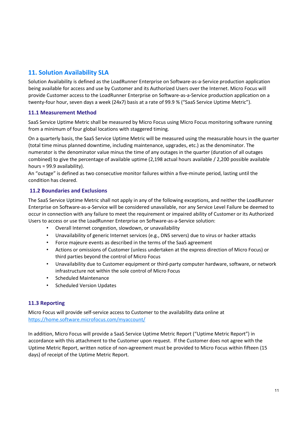# 11. Solution Availability SLA

Solution Availability is defined as the LoadRunner Enterprise on Software-as-a-Service production application being available for access and use by Customer and its Authorized Users over the Internet. Micro Focus will provide Customer access to the LoadRunner Enterprise on Software-as-a-Service production application on a twenty-four hour, seven days a week (24x7) basis at a rate of 99.9 % ("SaaS Service Uptime Metric").

# 11.1 Measurement Method

SaaS Service Uptime Metric shall be measured by Micro Focus using Micro Focus monitoring software running from a minimum of four global locations with staggered timing.

On a quarterly basis, the SaaS Service Uptime Metric will be measured using the measurable hours in the quarter (total time minus planned downtime, including maintenance, upgrades, etc.) as the denominator. The numerator is the denominator value minus the time of any outages in the quarter (duration of all outages combined) to give the percentage of available uptime (2,198 actual hours available / 2,200 possible available hours = 99.9 availability).

An "outage" is defined as two consecutive monitor failures within a five-minute period, lasting until the condition has cleared.

# 11.2 Boundaries and Exclusions

The SaaS Service Uptime Metric shall not apply in any of the following exceptions, and neither the LoadRunner Enterprise on Software-as-a-Service will be considered unavailable, nor any Service Level Failure be deemed to occur in connection with any failure to meet the requirement or impaired ability of Customer or its Authorized Users to access or use the LoadRunner Enterprise on Software-as-a-Service solution:

- Overall Internet congestion, slowdown, or unavailability
- Unavailability of generic Internet services (e.g., DNS servers) due to virus or hacker attacks
- Force majeure events as described in the terms of the SaaS agreement
- Actions or omissions of Customer (unless undertaken at the express direction of Micro Focus) or third parties beyond the control of Micro Focus
- Unavailability due to Customer equipment or third-party computer hardware, software, or network infrastructure not within the sole control of Micro Focus
- Scheduled Maintenance
- Scheduled Version Updates

# 11.3 Reporting

Micro Focus will provide self-service access to Customer to the availability data online at https://home.software.microfocus.com/myaccount/

In addition, Micro Focus will provide a SaaS Service Uptime Metric Report ("Uptime Metric Report") in accordance with this attachment to the Customer upon request. If the Customer does not agree with the Uptime Metric Report, written notice of non-agreement must be provided to Micro Focus within fifteen (15 days) of receipt of the Uptime Metric Report.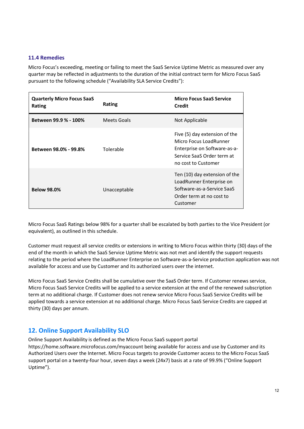# 11.4 Remedies

Micro Focus's exceeding, meeting or failing to meet the SaaS Service Uptime Metric as measured over any quarter may be reflected in adjustments to the duration of the initial contract term for Micro Focus SaaS pursuant to the following schedule ("Availability SLA Service Credits"):

| <b>Quarterly Micro Focus SaaS</b><br>Rating | Rating             | <b>Micro Focus SaaS Service</b><br>Credit                                                                                                    |
|---------------------------------------------|--------------------|----------------------------------------------------------------------------------------------------------------------------------------------|
| Between 99.9 % - 100%                       | <b>Meets Goals</b> | Not Applicable                                                                                                                               |
| Between 98.0% - 99.8%                       | Tolerable          | Five (5) day extension of the<br>Micro Focus LoadRunner<br>Enterprise on Software-as-a-<br>Service SaaS Order term at<br>no cost to Customer |
| <b>Below 98.0%</b>                          | Unacceptable       | Ten (10) day extension of the<br>LoadRunner Enterprise on<br>Software-as-a-Service SaaS<br>Order term at no cost to<br>Customer              |

Micro Focus SaaS Ratings below 98% for a quarter shall be escalated by both parties to the Vice President (or equivalent), as outlined in this schedule.

Customer must request all service credits or extensions in writing to Micro Focus within thirty (30) days of the end of the month in which the SaaS Service Uptime Metric was not met and identify the support requests relating to the period where the LoadRunner Enterprise on Software-as-a-Service production application was not available for access and use by Customer and its authorized users over the internet.

Micro Focus SaaS Service Credits shall be cumulative over the SaaS Order term. If Customer renews service, Micro Focus SaaS Service Credits will be applied to a service extension at the end of the renewed subscription term at no additional charge. If Customer does not renew service Micro Focus SaaS Service Credits will be applied towards a service extension at no additional charge. Micro Focus SaaS Service Credits are capped at thirty (30) days per annum.

# 12. Online Support Availability SLO

Online Support Availability is defined as the Micro Focus SaaS support portal https://home.software.microfocus.com/myaccount being available for access and use by Customer and its Authorized Users over the Internet. Micro Focus targets to provide Customer access to the Micro Focus SaaS support portal on a twenty-four hour, seven days a week (24x7) basis at a rate of 99.9% ("Online Support Uptime").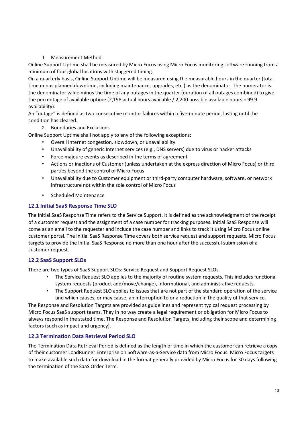# 1. Measurement Method

Online Support Uptime shall be measured by Micro Focus using Micro Focus monitoring software running from a minimum of four global locations with staggered timing.

On a quarterly basis, Online Support Uptime will be measured using the measurable hours in the quarter (total time minus planned downtime, including maintenance, upgrades, etc.) as the denominator. The numerator is the denominator value minus the time of any outages in the quarter (duration of all outages combined) to give the percentage of available uptime (2,198 actual hours available / 2,200 possible available hours = 99.9 availability).

An "outage" is defined as two consecutive monitor failures within a five-minute period, lasting until the condition has cleared.

## 2. Boundaries and Exclusions

Online Support Uptime shall not apply to any of the following exceptions:

- Overall Internet congestion, slowdown, or unavailability
- Unavailability of generic Internet services (e.g., DNS servers) due to virus or hacker attacks
- Force majeure events as described in the terms of agreement
- Actions or inactions of Customer (unless undertaken at the express direction of Micro Focus) or third parties beyond the control of Micro Focus
- Unavailability due to Customer equipment or third-party computer hardware, software, or network infrastructure not within the sole control of Micro Focus
- Scheduled Maintenance

## 12.1 Initial SaaS Response Time SLO

The Initial SaaS Response Time refers to the Service Support. It is defined as the acknowledgment of the receipt of a customer request and the assignment of a case number for tracking purposes. Initial SaaS Response will come as an email to the requester and include the case number and links to track it using Micro Focus online customer portal. The Initial SaaS Response Time covers both service request and support requests. Micro Focus targets to provide the Initial SaaS Response no more than one hour after the successful submission of a customer request.

# 12.2 SaaS Support SLOs

There are two types of SaaS Support SLOs: Service Request and Support Request SLOs.

- The Service Request SLO applies to the majority of routine system requests. This includes functional system requests (product add/move/change), informational, and administrative requests.
- The Support Request SLO applies to issues that are not part of the standard operation of the service and which causes, or may cause, an interruption to or a reduction in the quality of that service.

The Response and Resolution Targets are provided as guidelines and represent typical request processing by Micro Focus SaaS support teams. They in no way create a legal requirement or obligation for Micro Focus to always respond in the stated time. The Response and Resolution Targets, including their scope and determining factors (such as impact and urgency).

#### 12.3 Termination Data Retrieval Period SLO

The Termination Data Retrieval Period is defined as the length of time in which the customer can retrieve a copy of their customer LoadRunner Enterprise on Software-as-a-Service data from Micro Focus. Micro Focus targets to make available such data for download in the format generally provided by Micro Focus for 30 days following the termination of the SaaS Order Term.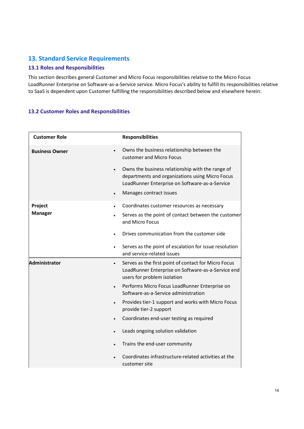# 13. Standard Service Requirements

# 13.1 Roles and Responsibilities

This section describes general Customer and Micro Focus responsibilities relative to the Micro Focus LoadRunner Enterprise on Software-as-a-Service service. Micro Focus's ability to fulfill its responsibilities relative to SaaS is dependent upon Customer fulfilling the responsibilities described below and elsewhere herein:

# 13.2 Customer Roles and Responsibilities

| <b>Customer Role</b>  | <b>Responsibilities</b>                                                                                                                                |
|-----------------------|--------------------------------------------------------------------------------------------------------------------------------------------------------|
| <b>Business Owner</b> | Owns the business relationship between the<br>customer and Micro Focus                                                                                 |
|                       | Owns the business relationship with the range of<br>departments and organizations using Micro Focus<br>LoadRunner Enterprise on Software-as-a-Service  |
|                       | Manages contract issues<br>$\bullet$                                                                                                                   |
| Project               | Coordinates customer resources as necessary<br>$\bullet$                                                                                               |
| <b>Manager</b>        | Serves as the point of contact between the customer<br>and Micro Focus                                                                                 |
|                       | Drives communication from the customer side                                                                                                            |
|                       | Serves as the point of escalation for issue resolution<br>and service-related issues                                                                   |
| Administrator         | Serves as the first point of contact for Micro Focus<br>$\bullet$<br>LoadRunner Enterprise on Software-as-a-Service end<br>users for problem isolation |
|                       | Performs Micro Focus LoadRunner Enterprise on<br>$\bullet$<br>Software-as-a-Service administration                                                     |
|                       | Provides tier-1 support and works with Micro Focus<br>$\bullet$<br>provide tier-2 support                                                              |
|                       | Coordinates end-user testing as required                                                                                                               |
|                       | Leads ongoing solution validation                                                                                                                      |
|                       | Trains the end-user community                                                                                                                          |
|                       | Coordinates infrastructure-related activities at the<br>customer site                                                                                  |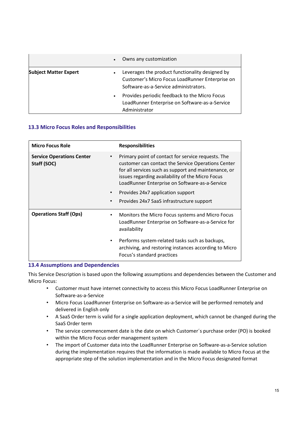|                              | Owns any customization<br>$\bullet$                                                                                                                      |
|------------------------------|----------------------------------------------------------------------------------------------------------------------------------------------------------|
| <b>Subject Matter Expert</b> | Leverages the product functionality designed by<br>$\bullet$<br>Customer's Micro Focus LoadRunner Enterprise on<br>Software-as-a-Service administrators. |
|                              | Provides periodic feedback to the Micro Focus<br>$\bullet$<br>LoadRunner Enterprise on Software-as-a-Service<br>Administrator                            |

# 13.3 Micro Focus Roles and Responsibilities

| <b>Micro Focus Role</b>                         |           | <b>Responsibilities</b>                                                                                                                                                                                                                                                |
|-------------------------------------------------|-----------|------------------------------------------------------------------------------------------------------------------------------------------------------------------------------------------------------------------------------------------------------------------------|
| <b>Service Operations Center</b><br>Staff (SOC) |           | Primary point of contact for service requests. The<br>customer can contact the Service Operations Center<br>for all services such as support and maintenance, or<br>issues regarding availability of the Micro Focus<br>LoadRunner Enterprise on Software-as-a-Service |
|                                                 |           | Provides 24x7 application support                                                                                                                                                                                                                                      |
|                                                 |           | Provides 24x7 SaaS infrastructure support                                                                                                                                                                                                                              |
| <b>Operations Staff (Ops)</b>                   | $\bullet$ | Monitors the Micro Focus systems and Micro Focus<br>LoadRunner Enterprise on Software-as-a-Service for<br>availability                                                                                                                                                 |
|                                                 | $\bullet$ | Performs system-related tasks such as backups,<br>archiving, and restoring instances according to Micro<br>Focus's standard practices                                                                                                                                  |

#### 13.4 Assumptions and Dependencies

This Service Description is based upon the following assumptions and dependencies between the Customer and Micro Focus:

- Customer must have internet connectivity to access this Micro Focus LoadRunner Enterprise on Software-as-a-Service
- Micro Focus LoadRunner Enterprise on Software-as-a-Service will be performed remotely and delivered in English only
- A SaaS Order term is valid for a single application deployment, which cannot be changed during the SaaS Order term
- The service commencement date is the date on which Customer´s purchase order (PO) is booked within the Micro Focus order management system
- The import of Customer data into the LoadRunner Enterprise on Software-as-a-Service solution during the implementation requires that the information is made available to Micro Focus at the appropriate step of the solution implementation and in the Micro Focus designated format